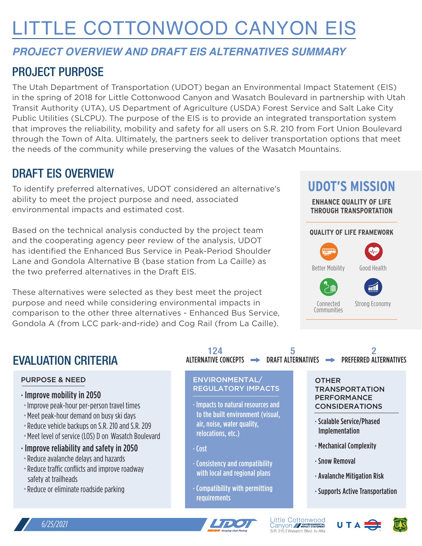# LITTLE COTTONWOOD CANYON EIS

# *PROJECT OVERVIEW AND DRAFT EIS ALTERNATIVES SUMMARY*

# PROJECT PURPOSE

The Utah Department of Transportation (UDOT) began an Environmental Impact Statement (EIS) in the spring of 2018 for Little Cottonwood Canyon and Wasatch Boulevard in partnership with Utah Transit Authority (UTA), US Department of Agriculture (USDA) Forest Service and Salt Lake City Public Utilities (SLCPU). The purpose of the EIS is to provide an integrated transportation system that improves the reliability, mobility and safety for all users on S.R. 210 from Fort Union Boulevard through the Town of Alta. Ultimately, the partners seek to deliver transportation options that meet the needs of the community while preserving the values of the Wasatch Mountains.

# DRAFT EIS OVERVIEW

To identify preferred alternatives, UDOT considered an alternative's ability to meet the project purpose and need, associated environmental impacts and estimated cost.

Based on the technical analysis conducted by the project team and the cooperating agency peer review of the analysis, UDOT has identified the Enhanced Bus Service in Peak-Period Shoulder Lane and Gondola Alternative B (base station from La Caille) as the two preferred alternatives in the Draft EIS.

These alternatives were selected as they best meet the project purpose and need while considering environmental impacts in comparison to the other three alternatives - Enhanced Bus Service, Gondola A (from LCC park-and-ride) and Cog Rail (from La Caille).

# **UDOT'S MISSION**

**ENHANCE QUALITY OF LIFE THROUGH TRANSPORTATION**

#### **QUALITY OF LIFE FRAMEWORK**



# EVALUATION CRITERIA

#### PURPOSE & NEED

- · Improve mobility in 2050
- ˚Improve peak-hour per-person travel times
- Meet peak-hour demand on busy ski days
- Reduce vehicle backups on S.R. 210 and S.R. 209
- Meet level of service (LOS) D on Wasatch Boulevard
- · Improve reliability and safety in 2050
- ˚Reduce avalanche delays and hazards
- Reduce traffic conflicts and improve roadway safety at trailheads
- Reduce or eliminate roadside parking

| 124 |  |  |
|-----|--|--|
|     |  |  |

#### ENVIRONMENTAL/ REGULATORY IMPACTS

· Impacts to natural resources and to the built environment (visual, air, noise, water quality, relocations, etc.)

· Cost

- · Consistency and compatibility with local and regional plans
- · Compatibility with permitting **requirements**

#### **OTHER** TRANSPORTATION PERFORMANCE CONSIDERATIONS

- · Scalable Service/Phased Implementation
- · Mechanical Complexity
- · Snow Removal
- · Avalanche Mitigation Risk
- · Supports Active Transportation



Little Cottonwood<br>Canyon // FRACE STATEMENT S.R. 210 | Wasatch Blvd. to Alta





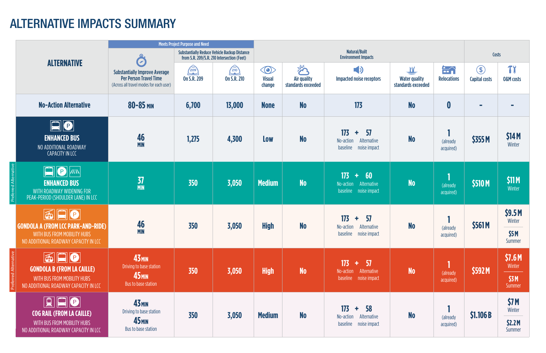|              |                                                                                                                                                                                                                                                                                                                                                                 | <b>Meets Project Purpose and Need</b>                                                                            |                                                                                                   |                          |                                                    |                                        |                                                                                         |                                                 |                                     |                                       |                                    |
|--------------|-----------------------------------------------------------------------------------------------------------------------------------------------------------------------------------------------------------------------------------------------------------------------------------------------------------------------------------------------------------------|------------------------------------------------------------------------------------------------------------------|---------------------------------------------------------------------------------------------------|--------------------------|----------------------------------------------------|----------------------------------------|-----------------------------------------------------------------------------------------|-------------------------------------------------|-------------------------------------|---------------------------------------|------------------------------------|
|              |                                                                                                                                                                                                                                                                                                                                                                 | C.                                                                                                               | <b>Substantially Reduce Vehicle Backup Distance</b><br>from S.R. 209/S.R. 210 Intersection (Feet) |                          | <b>Natural/Built</b><br><b>Environment Impacts</b> |                                        |                                                                                         |                                                 | Costs                               |                                       |                                    |
|              | <b>ALTERNATIVE</b>                                                                                                                                                                                                                                                                                                                                              | <b>Substantially Improve Average</b><br><b>Per Person Travel Time</b><br>(Across all travel modes for each user) | 2003<br><b>On S.R. 209</b>                                                                        | 20<br><b>On S.R. 210</b> | $\bigcirc$<br><b>Visual</b><br>change              | 学<br>Air quality<br>standards exceeded | $\Rightarrow$<br><b>Impacted noise receptors</b>                                        | W<br><b>Water quality</b><br>standards exceeded | $\Rightarrow$<br><b>Relocations</b> | $\circledast$<br><b>Capital costs</b> | <b>TY</b><br><b>0&amp;M</b> costs  |
|              | <b>No-Action Alternative</b>                                                                                                                                                                                                                                                                                                                                    | $80 - 85$ MIN                                                                                                    | 6,700                                                                                             | 13,000                   | <b>None</b>                                        | <b>No</b>                              | 173                                                                                     | <b>No</b>                                       | $\boldsymbol{0}$                    | $\overline{\phantom{a}}$              | $\mathcal{L}_{\mathcal{A}}$        |
|              | $\boxed{\blacksquare} \textcolor{blue}{\lozenge}$<br><b>ENHANCED BUS</b><br>NO ADDITIONAL ROADWAY<br><b>CAPACITY IN LCC</b>                                                                                                                                                                                                                                     | 46<br><b>MIN</b>                                                                                                 | 1,275                                                                                             | 4,300                    | Low                                                | <b>No</b>                              | 17 <sub>3</sub><br>57<br>÷.<br>No-action<br>Alternative<br>noise impact<br>baseline     | <b>No</b>                                       | (already<br>acquired)               | \$355M                                | \$14 M<br>Winter                   |
| d Alte       | $\Box$<br> P <br>$\vert$ //iN $\vert$<br><b>ENHANCED BUS</b><br>WITH ROADWAY WIDENING FOR<br>PEAK-PERIOD (SHOULDER LANE) IN LCC                                                                                                                                                                                                                                 | $\frac{37}{MN}$                                                                                                  | 350                                                                                               | 3,050                    | <b>Medium</b>                                      | <b>No</b>                              | 173<br>60<br>÷.<br>No-action<br>Alternative<br>baseline noise impact                    | <b>No</b>                                       | <b>A</b><br>(already<br>acquired)   | \$510 M                               | <b>\$11 M</b><br>Winter            |
|              | $ \mathbf{\widetilde{\omega}} $ $\mathbf{\Omega} \mathbf{\Theta} $<br><b>GONDOLA A (FROM LCC PARK-AND-RIDE)</b><br>WITH BUS FROM MOBILITY HUBS<br>NO ADDITIONAL ROADWAY CAPACITY IN LCC                                                                                                                                                                         | 46<br><b>MIN</b>                                                                                                 | 350                                                                                               | 3,050                    | <b>High</b>                                        | <b>No</b>                              | 17 <sub>3</sub><br>57<br>÷<br>Alternative<br>No-action<br>noise impact<br>baseline      | N <sub>o</sub>                                  | (already<br>acquired)               | \$561M                                | \$9.5M<br>Winter<br>\$5M<br>Summer |
| d Alternativ | 600<br><b>GONDOLA B (FROM LA CAILLE)</b><br>WITH BUS FROM MOBILITY HUBS<br>NO ADDITIONAL ROADWAY CAPACITY IN LCC                                                                                                                                                                                                                                                | <b>43 MIN</b><br>Driving to base station<br><b>45<sub>MIN</sub></b><br>Bus to base station                       | 350                                                                                               | 3,050                    | <b>High</b>                                        | <b>No</b>                              | 173<br>$+ 57$<br>Alternative<br>No-action<br>baseline noise impact                      | <b>No</b>                                       | (already<br>acquired)               | \$592M                                | \$7.6M<br>Winter<br>\$3M<br>Summer |
|              | $\begin{tabular}{ c c c c c } \hline \quad \quad & \quad \quad & \quad \quad & \quad \quad \\ \hline \quad \quad & \quad \quad & \quad \quad & \quad \quad \\ \hline \quad \quad & \quad \quad & \quad \quad & \quad \quad \\ \hline \end{tabular}$<br><b>COG RAIL (FROM LA CAILLE)</b><br>WITH BUS FROM MOBILITY HUBS<br>NO ADDITIONAL ROADWAY CAPACITY IN LCC | <b>43 MIN</b><br>Driving to base station<br><b>45<sub>MIN</sub></b><br>Bus to base station                       | 350                                                                                               | 3,050                    | <b>Medium</b>                                      | <b>No</b>                              | 17 <sub>3</sub><br><b>58</b><br>÷.<br>No-action<br>Alternative<br>baseline noise impact | <b>No</b>                                       | (already<br>acquired)               | \$1.106B                              | \$7M<br>Winter<br>\$2.2M<br>Summer |

# ALTERNATIVE IMPACTS SUMMARY